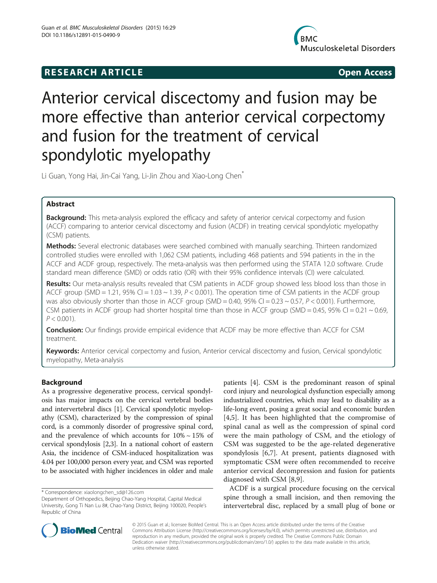# **RESEARCH ARTICLE Example 2014 CONSIDERING CONSIDERING CONSIDERING CONSIDERING CONSIDERING CONSIDERING CONSIDERING CONSIDERING CONSIDERING CONSIDERING CONSIDERING CONSIDERING CONSIDERING CONSIDERING CONSIDERING CONSIDE**



# Anterior cervical discectomy and fusion may be more effective than anterior cervical corpectomy and fusion for the treatment of cervical spondylotic myelopathy

Li Guan, Yong Hai, Jin-Cai Yang, Li-Jin Zhou and Xiao-Long Chen<sup>\*</sup>

# Abstract

**Background:** This meta-analysis explored the efficacy and safety of anterior cervical corpectomy and fusion (ACCF) comparing to anterior cervical discectomy and fusion (ACDF) in treating cervical spondylotic myelopathy (CSM) patients.

Methods: Several electronic databases were searched combined with manually searching. Thirteen randomized controlled studies were enrolled with 1,062 CSM patients, including 468 patients and 594 patients in the in the ACCF and ACDF group, respectively. The meta-analysis was then performed using the STATA 12.0 software. Crude standard mean difference (SMD) or odds ratio (OR) with their 95% confidence intervals (CI) were calculated.

Results: Our meta-analysis results revealed that CSM patients in ACDF group showed less blood loss than those in ACCF group (SMD = 1.21, 95% CI = 1.03  $\sim$  1.39, P < 0.001). The operation time of CSM patients in the ACDF group was also obviously shorter than those in ACCF group (SMD = 0.40, 95% CI = 0.23  $\sim$  0.57, P < 0.001). Furthermore, CSM patients in ACDF group had shorter hospital time than those in ACCF group (SMD =  $0.45$ , 95% CI =  $0.21 \sim 0.69$ ,  $P < 0.001$ ).

**Conclusion:** Our findings provide empirical evidence that ACDF may be more effective than ACCF for CSM treatment.

Keywords: Anterior cervical corpectomy and fusion, Anterior cervical discectomy and fusion, Cervical spondylotic myelopathy, Meta-analysis

# Background

As a progressive degenerative process, cervical spondylosis has major impacts on the cervical vertebral bodies and intervertebral discs [[1](#page-7-0)]. Cervical spondylotic myelopathy (CSM), characterized by the compression of spinal cord, is a commonly disorder of progressive spinal cord, and the prevalence of which accounts for  $10\% \sim 15\%$  of cervical spondylosis [[2,3](#page-7-0)]. In a national cohort of eastern Asia, the incidence of CSM-induced hospitalization was 4.04 per 100,000 person every year, and CSM was reported to be associated with higher incidences in older and male

patients [\[4](#page-7-0)]. CSM is the predominant reason of spinal cord injury and neurological dysfunction especially among industrialized countries, which may lead to disability as a life-long event, posing a great social and economic burden [[4,5](#page-7-0)]. It has been highlighted that the compromise of spinal canal as well as the compression of spinal cord were the main pathology of CSM, and the etiology of CSM was suggested to be the age-related degenerative spondylosis [[6,7\]](#page-7-0). At present, patients diagnosed with symptomatic CSM were often recommended to receive anterior cervical decompression and fusion for patients diagnosed with CSM [[8,9](#page-7-0)].

ACDF is a surgical procedure focusing on the cervical spine through a small incision, and then removing the intervertebral disc, replaced by a small plug of bone or



© 2015 Guan et al.; licensee BioMed Central. This is an Open Access article distributed under the terms of the Creative Commons Attribution License [\(http://creativecommons.org/licenses/by/4.0\)](http://creativecommons.org/licenses/by/4.0), which permits unrestricted use, distribution, and reproduction in any medium, provided the original work is properly credited. The Creative Commons Public Domain Dedication waiver [\(http://creativecommons.org/publicdomain/zero/1.0/](http://creativecommons.org/publicdomain/zero/1.0/)) applies to the data made available in this article, unless otherwise stated.

<sup>\*</sup> Correspondence: [xiaolongchen\\_sd@126.com](mailto:xiaolongchen_sd@126.com)

Department of Orthopedics, Beijing Chao-Yang Hospital, Capital Medical University, Gong Ti Nan Lu 8#, Chao-Yang District, Beijing 100020, People's Republic of China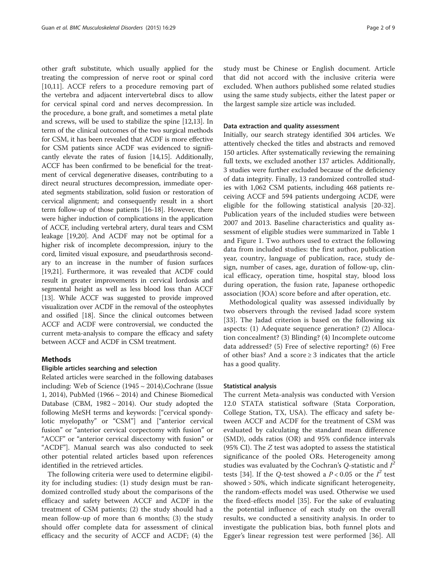other graft substitute, which usually applied for the treating the compression of nerve root or spinal cord [[10,11\]](#page-7-0). ACCF refers to a procedure removing part of the vertebra and adjacent intervertebral discs to allow for cervical spinal cord and nerves decompression. In the procedure, a bone graft, and sometimes a metal plate and screws, will be used to stabilize the spine [\[12,13](#page-7-0)]. In term of the clinical outcomes of the two surgical methods for CSM, it has been revealed that ACDF is more effective for CSM patients since ACDF was evidenced to significantly elevate the rates of fusion [\[14,15\]](#page-7-0). Additionally, ACCF has been confirmed to be beneficial for the treatment of cervical degenerative diseases, contributing to a direct neural structures decompression, immediate operated segments stabilization, solid fusion or restoration of cervical alignment; and consequently result in a short term follow-up of those patients [\[16-18\]](#page-7-0). However, there were higher induction of complications in the application of ACCF, including vertebral artery, dural tears and CSM leakage [\[19,20](#page-7-0)]. And ACDF may not be optimal for a higher risk of incomplete decompression, injury to the cord, limited visual exposure, and pseudarthrosis secondary to an increase in the number of fusion surfaces [[19,21](#page-7-0)]. Furthermore, it was revealed that ACDF could result in greater improvements in cervical lordosis and segmental height as well as less blood loss than ACCF [[13](#page-7-0)]. While ACCF was suggested to provide improved visualization over ACDF in the removal of the osteophytes and ossified [[18](#page-7-0)]. Since the clinical outcomes between ACCF and ACDF were controversial, we conducted the current meta-analysis to compare the efficacy and safety between ACCF and ACDF in CSM treatment.

## Methods

#### Eligible articles searching and selection

Related articles were searched in the following databases including: Web of Science  $(1945 \sim 2014)$ , Cochrane (Issue 1, 2014), PubMed (1966 ~ 2014) and Chinese Biomedical Database (CBM,  $1982 \sim 2014$ ). Our study adopted the following MeSH terms and keywords: ["cervical spondylotic myelopathy" or "CSM"] and ["anterior cervical fusion" or "anterior cervical corpectomy with fusion" or "ACCF" or "anterior cervical discectomy with fusion" or "ACDF"]. Manual search was also conducted to seek other potential related articles based upon references identified in the retrieved articles.

The following criteria were used to determine eligibility for including studies: (1) study design must be randomized controlled study about the comparisons of the efficacy and safety between ACCF and ACDF in the treatment of CSM patients; (2) the study should had a mean follow-up of more than 6 months; (3) the study should offer complete data for assessment of clinical efficacy and the security of ACCF and ACDF; (4) the study must be Chinese or English document. Article that did not accord with the inclusive criteria were excluded. When authors published some related studies using the same study subjects, either the latest paper or the largest sample size article was included.

#### Data extraction and quality assessment

Initially, our search strategy identified 304 articles. We attentively checked the titles and abstracts and removed 150 articles. After systematically reviewing the remaining full texts, we excluded another 137 articles. Additionally, 3 studies were further excluded because of the deficiency of data integrity. Finally, 13 randomized controlled studies with 1,062 CSM patients, including 468 patients receiving ACCF and 594 patients undergoing ACDF, were eligible for the following statistical analysis [\[20-32](#page-7-0)]. Publication years of the included studies were between 2007 and 2013. Baseline characteristics and quality assessment of eligible studies were summarized in Table [1](#page-2-0) and Figure [1](#page-3-0). Two authors used to extract the following data from included studies: the first author, publication year, country, language of publication, race, study design, number of cases, age, duration of follow-up, clinical efficacy, operation time, hospital stay, blood loss during operation, the fusion rate, Japanese orthopedic association (JOA) score before and after operation, etc.

Methodological quality was assessed individually by two observers through the revised Jadad score system [[33](#page-7-0)]. The Jadad criterion is based on the following six aspects: (1) Adequate sequence generation? (2) Allocation concealment? (3) Blinding? (4) Incomplete outcome data addressed? (5) Free of selective reporting? (6) Free of other bias? And a score  $\geq$  3 indicates that the article has a good quality.

#### Statistical analysis

The current Meta-analysis was conducted with Version 12.0 STATA statistical software (Stata Corporation, College Station, TX, USA). The efficacy and safety between ACCF and ACDF for the treatment of CSM was evaluated by calculating the standard mean difference (SMD), odds ratios (OR) and 95% confidence intervals (95% CI). The Z test was adopted to assess the statistical significance of the pooled ORs. Heterogeneity among studies was evaluated by the Cochran's Q-statistic and  $I^2$ tests [\[34](#page-7-0)]. If the Q-test showed a  $P < 0.05$  or the  $I^2$  test showed > 50%, which indicate significant heterogeneity, the random-effects model was used. Otherwise we used the fixed-effects model [[35\]](#page-7-0). For the sake of evaluating the potential influence of each study on the overall results, we conducted a sensitivity analysis. In order to investigate the publication bias, both funnel plots and Egger's linear regression test were performed [[36\]](#page-7-0). All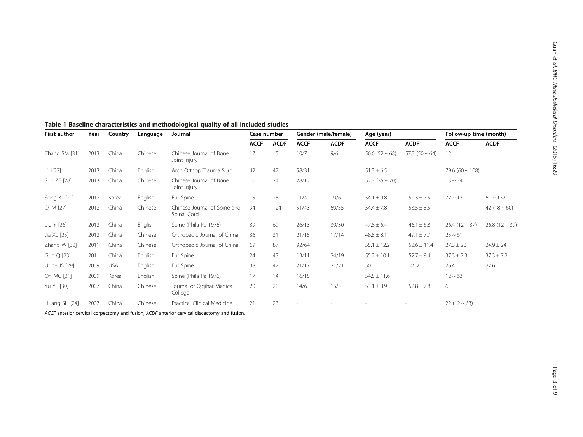| <b>First author</b> | Year | Country    | Language | Journal                                     | Case number |             | Gender (male/female) |             | Age (year)          |                     | Follow-up time (month)   |                    |
|---------------------|------|------------|----------|---------------------------------------------|-------------|-------------|----------------------|-------------|---------------------|---------------------|--------------------------|--------------------|
|                     |      |            |          |                                             | <b>ACCF</b> | <b>ACDF</b> | <b>ACCF</b>          | <b>ACDF</b> | <b>ACCF</b>         | <b>ACDF</b>         | <b>ACCF</b>              | <b>ACDF</b>        |
| Zhang SM [31]       | 2013 | China      | Chinese  | Chinese Journal of Bone<br>Joint Injury     | 17          | 15          | 10/7                 | 9/6         | 56.6 $(52 \sim 68)$ | 57.3 $(50 \sim 64)$ | 12                       |                    |
| Li J[22]            | 2013 | China      | English  | Arch Orthop Trauma Surg                     | 42          | 47          | 58/31                |             | $51.3 \pm 6.5$      |                     | 79.6 $(60 \sim 108)$     |                    |
| Sun ZF [28]         | 2013 | China      | Chinese  | Chinese Journal of Bone<br>Joint Injury     | 16          | 24          | 28/12                |             | 52.3 $(35 \sim 70)$ |                     | $13 \sim 34$             |                    |
| Song KJ [20]        | 2012 | Korea      | English  | Eur Spine J                                 | 15          | 25          | 11/4                 | 19/6        | $54.1 \pm 9.8$      | $50.3 \pm 7.5$      | $72 \sim 171$            | $61 - 132$         |
| Qi M [27]           | 2012 | China      | Chinese  | Chinese Journal of Spine and<br>Spinal Cord | 94          | 124         | 51/43                | 69/55       | $54.4 \pm 7.8$      | $53.5 \pm 8.5$      | $\overline{\phantom{a}}$ | 42 $(18 \sim 60)$  |
| Liu Y [26]          | 2012 | China      | English  | Spine (Phila Pa 1976)                       | 39          | 69          | 26/13                | 39/30       | $47.8 \pm 6.4$      | $46.1 \pm 6.8$      | $26.4(12 \sim 37)$       | $26.8(12 \sim 39)$ |
| Jia XL [25]         | 2012 | China      | Chinese  | Orthopedic Journal of China                 | 36          | 31          | 21/15                | 17/14       | $48.8 \pm 8.1$      | $49.1 \pm 7.7$      | $25 \sim 61$             |                    |
| Zhang W [32]        | 2011 | China      | Chinese  | Orthopedic Journal of China                 | 69          | 87          | 92/64                |             | $55.1 \pm 12.2$     | $52.6 \pm 11.4$     | $27.3 \pm 20$            | $24.9 \pm 24$      |
| Guo Q [23]          | 2011 | China      | English  | Eur Spine J                                 | 24          | 43          | 13/11                | 24/19       | $55.2 \pm 10.1$     | $52.7 \pm 9.4$      | $37.3 \pm 7.3$           | $37.3 \pm 7.2$     |
| Uribe JS [29]       | 2009 | <b>USA</b> | English  | Eur Spine J                                 | 38          | 42          | 21/17                | 21/21       | 50                  | 46.2                | 26.4                     | 27.6               |
| Oh MC [21]          | 2009 | Korea      | English  | Spine (Phila Pa 1976)                       | 17          | 14          | 16/15                |             | $54.5 \pm 11.6$     |                     | $12 \sim 63$             |                    |
| Yu YL [30]          | 2007 | China      | Chinese  | Journal of Qigihar Medical<br>College       | 20          | 20          | 14/6                 | 15/5        | $53.1 \pm 8.9$      | $52.8 \pm 7.8$      | 6                        |                    |
| Huang SH [24]       | 2007 | China      | Chinese  | Practical Clinical Medicine                 | 21          | 23          |                      |             |                     |                     | $22(12 \sim 63)$         |                    |

# <span id="page-2-0"></span>Table 1 Baseline characteristics and methodological quality of all included studies

ACCF anterior cervical corpectomy and fusion, ACDF anterior cervical discectomy and fusion.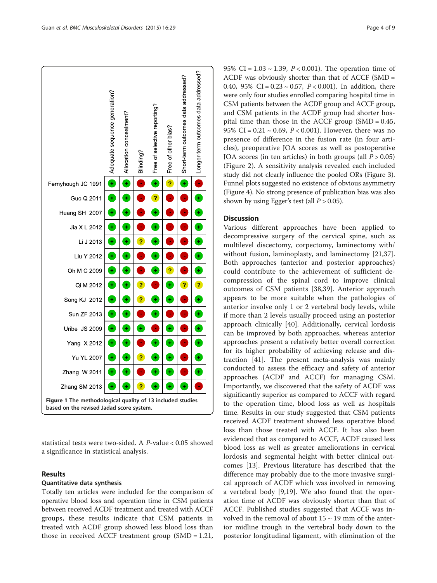<span id="page-3-0"></span>

statistical tests were two-sided. A P-value < 0.05 showed a significance in statistical analysis.

# Results

#### Quantitative data synthesis

Totally ten articles were included for the comparison of operative blood loss and operation time in CSM patients between received ACDF treatment and treated with ACCF groups, these results indicate that CSM patients in treated with ACDF group showed less blood loss than those in received ACCF treatment group (SMD = 1.21, 95% CI =  $1.03 \sim 1.39$ ,  $P < 0.001$ ). The operation time of ACDF was obviously shorter than that of ACCF (SMD = 0.40, 95% CI =  $0.23 \sim 0.57$ ,  $P < 0.001$ ). In addition, there were only four studies enrolled comparing hospital time in CSM patients between the ACDF group and ACCF group, and CSM patients in the ACDF group had shorter hospital time than those in the ACCF group  $(SMD = 0.45,$ 95% CI =  $0.21 \sim 0.69$ ,  $P < 0.001$ ). However, there was no presence of difference in the fusion rate (in four articles), preoperative JOA scores as well as postoperative JOA scores (in ten articles) in both groups (all  $P > 0.05$ ) (Figure [2\)](#page-4-0). A sensitivity analysis revealed each included study did not clearly influence the pooled ORs (Figure [3](#page-5-0)). Funnel plots suggested no existence of obvious asymmetry (Figure [4\)](#page-6-0). No strong presence of publication bias was also shown by using Egger's test (all  $P > 0.05$ ).

# **Discussion**

Various different approaches have been applied to decompressive surgery of the cervical spine, such as multilevel discectomy, corpectomy, laminectomy with/ without fusion, laminoplasty, and laminectomy [[21,37](#page-7-0)]. Both approaches (anterior and posterior approaches) could contribute to the achievement of sufficient decompression of the spinal cord to improve clinical outcomes of CSM patients [[38,39](#page-7-0)]. Anterior approach appears to be more suitable when the pathologies of anterior involve only 1 or 2 vertebral body levels, while if more than 2 levels usually proceed using an posterior approach clinically [[40](#page-7-0)]. Additionally, cervical lordosis can be improved by both approaches, whereas anterior approaches present a relatively better overall correction for its higher probability of achieving release and distraction [[41\]](#page-8-0). The present meta-analysis was mainly conducted to assess the efficacy and safety of anterior approaches (ACDF and ACCF) for managing CSM. Importantly, we discovered that the safety of ACDF was significantly superior as compared to ACCF with regard to the operation time, blood loss as well as hospitals time. Results in our study suggested that CSM patients received ACDF treatment showed less operative blood loss than those treated with ACCF. It has also been evidenced that as compared to ACCF, ACDF caused less blood loss as well as greater ameliorations in cervical lordosis and segmental height with better clinical outcomes [[13\]](#page-7-0). Previous literature has described that the difference may probably due to the more invasive surgical approach of ACDF which was involved in removing a vertebral body [[9,19\]](#page-7-0). We also found that the operation time of ACDF was obviously shorter than that of ACCF. Published studies suggested that ACCF was involved in the removal of about  $15 \sim 19$  mm of the anterior midline trough in the vertebral body down to the posterior longitudinal ligament, with elimination of the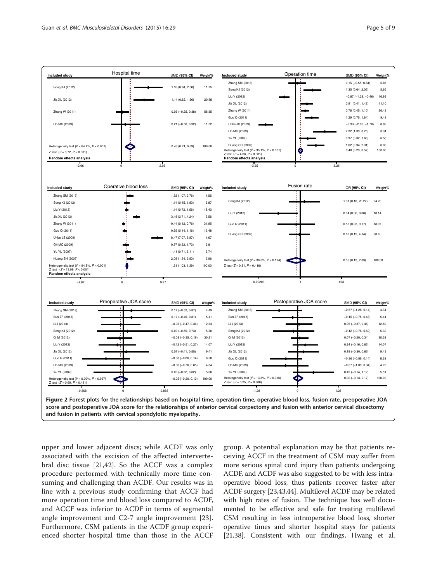<span id="page-4-0"></span>

upper and lower adjacent discs; while ACDF was only associated with the excision of the affected intervertebral disc tissue [\[21](#page-7-0)[,42](#page-8-0)]. So the ACCF was a complex procedure performed with technically more time consuming and challenging than ACDF. Our results was in line with a previous study confirming that ACCF had more operation time and blood loss compared to ACDF, and ACCF was inferior to ACDF in terms of segmental angle improvement and C2-7 angle improvement [\[23](#page-7-0)]. Furthermore, CSM patients in the ACDF group experienced shorter hospital time than those in the ACCF group. A potential explanation may be that patients receiving ACCF in the treatment of CSM may suffer from more serious spinal cord injury than patients undergoing ACDF, and ACDF was also suggested to be with less intraoperative blood loss; thus patients recover faster after ACDF surgery [[23,](#page-7-0)[43,44\]](#page-8-0). Multilevel ACDF may be related with high rates of fusion. The technique has well documented to be effective and safe for treating multilevel CSM resulting in less intraoperative blood loss, shorter operative times and shorter hospital stays for patients [[21](#page-7-0),[38](#page-7-0)]. Consistent with our findings, Hwang et al.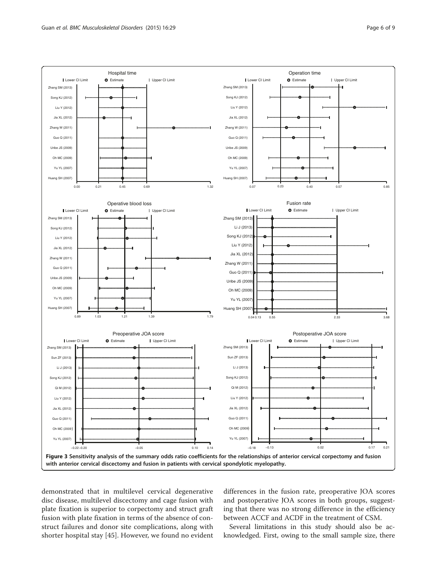<span id="page-5-0"></span>

Figure 3 Sensitivity analysis of the summary odds ratio coefficients for the relationships of anterior cervical corpectomy and fusion with anterior cervical discectomy and fusion in patients with cervical spondylotic myelopathy.

demonstrated that in multilevel cervical degenerative disc disease, multilevel discectomy and cage fusion with plate fixation is superior to corpectomy and struct graft fusion with plate fixation in terms of the absence of construct failures and donor site complications, along with shorter hospital stay [\[45](#page-8-0)]. However, we found no evident

differences in the fusion rate, preoperative JOA scores and postoperative JOA scores in both groups, suggesting that there was no strong difference in the efficiency between ACCF and ACDF in the treatment of CSM.

Several limitations in this study should also be acknowledged. First, owing to the small sample size, there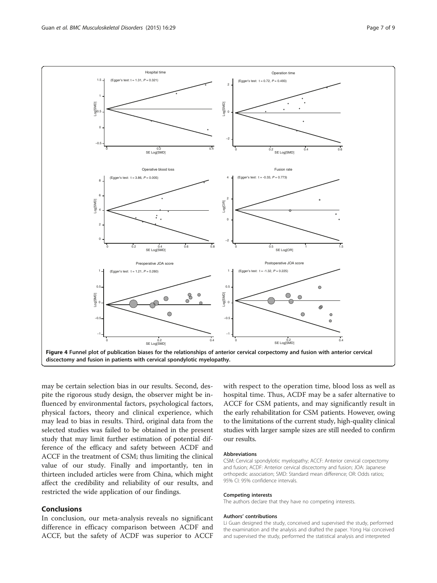<span id="page-6-0"></span>

may be certain selection bias in our results. Second, despite the rigorous study design, the observer might be influenced by environmental factors, psychological factors, physical factors, theory and clinical experience, which may lead to bias in results. Third, original data from the selected studies was failed to be obtained in the present study that may limit further estimation of potential difference of the efficacy and safety between ACDF and ACCF in the treatment of CSM; thus limiting the clinical value of our study. Finally and importantly, ten in thirteen included articles were from China, which might affect the credibility and reliability of our results, and restricted the wide application of our findings.

# Conclusions

In conclusion, our meta-analysis reveals no significant difference in efficacy comparison between ACDF and ACCF, but the safety of ACDF was superior to ACCF

with respect to the operation time, blood loss as well as hospital time. Thus, ACDF may be a safer alternative to ACCF for CSM patients, and may significantly result in the early rehabilitation for CSM patients. However, owing to the limitations of the current study, high-quality clinical studies with larger sample sizes are still needed to confirm our results.

#### **Abbreviations**

CSM: Cervical spondylotic myelopathy; ACCF: Anterior cervical corpectomy and fusion; ACDF: Anterior cervical discectomy and fusion; JOA: Japanese orthopedic association; SMD: Standard mean difference; OR: Odds ratios; 95% CI: 95% confidence intervals.

#### Competing interests

The authors declare that they have no competing interests.

#### Authors' contributions

Li Guan designed the study, conceived and supervised the study, performed the examination and the analysis and drafted the paper. Yong Hai conceived and supervised the study, performed the statistical analysis and interpreted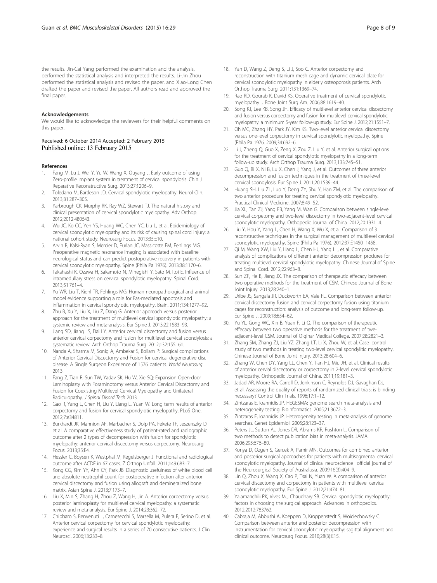<span id="page-7-0"></span>the results. Jin-Cai Yang performed the examination and the analysis, performed the statistical analysis and interpreted the results. Li-Jin Zhou performed the statistical analysis and revised the paper. and Xiao-Long Chen drafted the paper and revised the paper. All authors read and approved the final paper.

#### Acknowledgements

We would like to acknowledge the reviewers for their helpful comments on this paper.

#### Received: 6 October 2014 Accepted: 2 February 2015 Published online: 13 February 2015

#### References

- 1. Fang M, Lu J, Wei Y, Yu W, Wang X, Ouyang J. Early outcome of using Zero-profile implant system in treatment of cervical spondylosis. Chin J Reparative Reconstructive Surg. 2013;27:1206–9.
- 2. Toledano M, Bartleson JD. Cervical spondylotic myelopathy. Neurol Clin. 2013;31:287–305.
- Yarbrough CK, Murphy RK, Ray WZ, Stewart TJ. The natural history and clinical presentation of cervical spondylotic myelopathy. Adv Orthop. 2012;2012:480643.
- 4. Wu JC, Ko CC, Yen YS, Huang WC, Chen YC, Liu L, et al. Epidemiology of cervical spondylotic myelopathy and its risk of causing spinal cord injury: a national cohort study. Neurosurg Focus. 2013;35:E10.
- 5. Arvin B, Kalsi-Ryan S, Mercier D, Furlan JC, Massicotte EM, Fehlings MG. Preoperative magnetic resonance imaging is associated with baseline neurological status and can predict postoperative recovery in patients with cervical spondylotic myelopathy. Spine (Phila Pa 1976). 2013;38:1170–6.
- Takahashi K, Ozawa H, Sakamoto N, Minegishi Y, Sato M, Itoi E. Influence of intramedullary stress on cervical spondylotic myelopathy. Spinal Cord. 2013;51:761–4.
- 7. Yu WR, Liu T, Kiehl TR, Fehlings MG. Human neuropathological and animal model evidence supporting a role for Fas-mediated apoptosis and inflammation in cervical spondylotic myelopathy. Brain. 2011;134:1277–92.
- 8. Zhu B, Xu Y, Liu X, Liu Z, Dang G. Anterior approach versus posterior approach for the treatment of multilevel cervical spondylotic myelopathy: a systemic review and meta-analysis. Eur Spine J. 2013;22:1583–93.
- Jiang SD, Jiang LS, Dai LY. Anterior cervical discectomy and fusion versus anterior cervical corpectomy and fusion for multilevel cervical spondylosis: a systematic review. Arch Orthop Trauma Surg. 2012;132:155–61.
- 10. Nanda A, Sharma M, Sonig A, Ambekar S, Bollam P: Surgical complications of Anterior Cervical Discectomy and Fusion for cervical degenerative disc disease: A Single Surgeon Experience of 1576 patients. World Neurosurg 2013.
- 11. Fang Z, Tian R, Sun TW, Yadav SK, Hu W, Xie SQ: Expansion Open-door Laminoplasty with Foraminotomy versus Anterior Cervical Discectomy and Fusion for Coexisting Multilevel Cervical Myelopathy and Unilateral Radiculopathy. J Spinal Disord Tech 2013.
- 12. Gao R, Yang L, Chen H, Liu Y, Liang L, Yuan W. Long term results of anterior corpectomy and fusion for cervical spondylotic myelopathy. PLoS One. 2012;7:e34811.
- 13. Burkhardt JK, Mannion AF, Marbacher S, Dolp PA, Fekete TF, Jeszenszky D, et al. A comparative effectiveness study of patient-rated and radiographic outcome after 2 types of decompression with fusion for spondylotic myelopathy: anterior cervical discectomy versus corpectomy. Neurosurg Focus. 2013;35:E4.
- 14. Hessler C, Boysen K, Westphal M, Regelsberger J. Functional and radiological outcome after ACDF in 67 cases. Z Orthop Unfall. 2011;149:683–7.
- 15. Kong CG, Kim YY, Ahn CY, Park JB. Diagnostic usefulness of white blood cell and absolute neutrophil count for postoperative infection after anterior cervical discectomy and fusion using allograft and demineralized bone matrix. Asian Spine J. 2013;7:173–7.
- 16. Liu X, Min S, Zhang H, Zhou Z, Wang H, Jin A. Anterior corpectomy versus posterior laminoplasty for multilevel cervical myelopathy: a systematic review and meta-analysis. Eur Spine J. 2014;23:362–72.
- 17. Chibbaro S, Benvenuti L, Carnesecchi S, Marsella M, Pulera F, Serino D, et al. Anterior cervical corpectomy for cervical spondylotic myelopathy: experience and surgical results in a series of 70 consecutive patients. J Clin Neurosci. 2006;13:233–8.
- 18. Yan D, Wang Z, Deng S, Li J, Soo C. Anterior corpectomy and reconstruction with titanium mesh cage and dynamic cervical plate for cervical spondylotic myelopathy in elderly osteoporosis patients. Arch Orthop Trauma Surg. 2011;131:1369–74.
- 19. Rao RD, Gourab K, David KS. Operative treatment of cervical spondylotic myelopathy. J Bone Joint Surg Am. 2006;88:1619–40.
- 20. Song KJ, Lee KB, Song JH. Efficacy of multilevel anterior cervical discectomy and fusion versus corpectomy and fusion for multilevel cervical spondylotic myelopathy: a minimum 5-year follow-up study. Eur Spine J. 2012;21:1551–7.
- 21. Oh MC, Zhang HY, Park JY, Kim KS. Two-level anterior cervical discectomy versus one-level corpectomy in cervical spondylotic myelopathy. Spine (Phila Pa 1976. 2009;34:692–6.
- 22. Li J, Zheng Q, Guo X, Zeng X, Zou Z, Liu Y, et al. Anterior surgical options for the treatment of cervical spondylotic myelopathy in a long-term follow-up study. Arch Orthop Trauma Surg. 2013;133:745–51.
- 23. Guo Q, Bi X, Ni B, Lu X, Chen J, Yang J, et al. Outcomes of three anterior decompression and fusion techniques in the treatment of three-level cervical spondylosis. Eur Spine J. 2011;20:1539–44.
- 24. Huang SH, Liu ZL, Luo Y, Deng ZY, Shu Y, Han ZM, et al. The comparison of two anterior procedure for treating cervical spondylotic myelopathy. Practical Clinical Medicine. 2007;8:49–52.
- 25. Jia XL, Tan ZJ, Yang FB, Yang M, Wan G. Comparison between single-level cervical corpetomy and two-level discectomy in two-adjacent-level cervical spondylotic myelopathy. Orthopedic Journal of China. 2012;20:1931–4.
- 26. Liu Y, Hou Y, Yang L, Chen H, Wang X, Wu X, et al. Comparison of 3 reconstructive techniques in the surgical management of multilevel cervical spondylotic myelopathy. Spine (Phila Pa 1976). 2012;37:E1450–1458.
- 27. Qi M, Wang XW, Liu Y, Liang L, Chen HJ, Yang LL, et al. Comparative analysis of complications of different anterior decompression produres for treating multievel cervical spondylotic myelopathy. Chinese Journal of Spine and Spinal Cord. 2012;22:963–8.
- 28. Sun ZF, He B, Jiang JX. The comparison of therapeutic effecacy between two operative methods for the treatment of CSM. Chinese Journal of Bone Joint Injury. 2013;28:240–1.
- 29. Uribe JS, Sangala JR, Duckworth EA, Vale FL. Comparison between anterior cervical discectomy fusion and cervical corpectomy fusion using titanium cages for reconstruction: analysis of outcome and long-term follow-up. Eur Spine J. 2009;18:654–62.
- 30. Yu YL, Gong WC, Xin B, Yuan F, Li Q. The comparison of therapeutic effecacy between two operative methods for the treatment of tweadjacent-level CSM. Journal of Qiqihar Medical College. 2007;28:2821–3.
- 31. Zhang SM, Zhang ZJ, Liu YZ, Zhang LT, Li X, Zhou W, et al. Case–control study of two methods in treating two-level cervical spondylitic myelopathy. Chinese Journal of Bone Joint Injury. 2013;28:604–6.
- 32. Zhang W, Chen DY, Yang LL, Chen Y, Tian HJ, Miu JH, et al. Clinical results of anterior cervial discectomy or corpectomy in 2-level cervical spondylotic myelopathy. Orthopedic Journal of China. 2011;19:181–3.
- 33. Jadad AR, Moore RA, Carroll D, Jenkinson C, Reynolds DJ, Gavaghan DJ, et al. Assessing the quality of reports of randomized clinical trials: is blinding necessary? Control Clin Trials. 1996;17:1–12.
- 34. Zintzaras E, Ioannidis JP. HEGESMA: genome search meta-analysis and heterogeneity testing. Bioinformatics. 2005;21:3672–3.
- 35. Zintzaras E, Ioannidis JP. Heterogeneity testing in meta-analysis of genome searches. Genet Epidemiol. 2005;28:123–37.
- 36. Peters JL, Sutton AJ, Jones DR, Abrams KR, Rushton L. Comparison of two methods to detect publication bias in meta-analysis. JAMA. 2006;295:676–80.
- 37. Konya D, Ozgen S, Gercek A, Pamir MN. Outcomes for combined anterior and posterior surgical approaches for patients with multisegmental cervical spondylotic myelopathy. Journal of clinical neuroscience : official journal of the Neurosurgical Society of Australasia. 2009;16(3):404–9.
- 38. Lin Q, Zhou X, Wang X, Cao P, Tsai N, Yuan W. A comparison of anterior cervical discectomy and corpectomy in patients with multilevel cervical spondylotic myelopathy. Eur Spine J. 2012;21:474–81.
- 39. Yalamanchili PK, Vives MJ, Chaudhary SB. Cervical spondylotic myelopathy: factors in choosing the surgical approach. Advances in orthopedics. 2012;2012:783762.
- 40. Cabraja M, Abbushi A, Koeppen D, Kroppenstedt S, Woiciechowsky C. Comparison between anterior and posterior decompression with instrumentation for cervical spondylotic myelopathy: sagittal alignment and clinical outcome. Neurosurg Focus. 2010;28(3):E15.